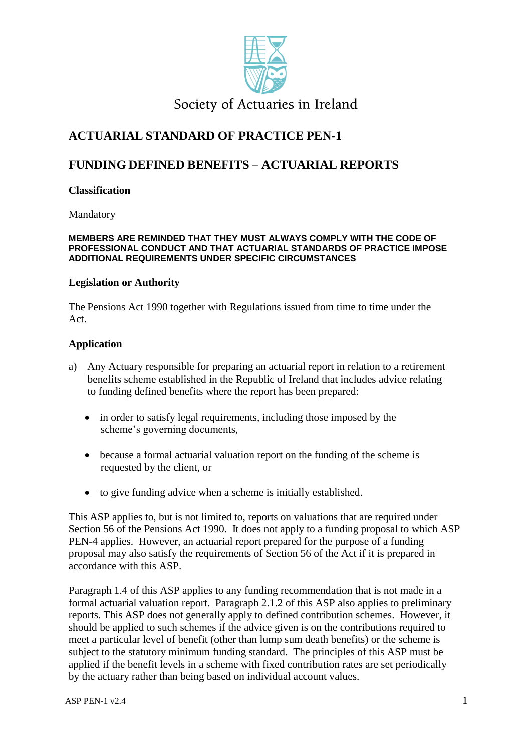

## Society of Actuaries in Ireland

## **ACTUARIAL STANDARD OF PRACTICE PEN-1**

## **FUNDING DEFINED BENEFITS – ACTUARIAL REPORTS**

### **Classification**

Mandatory

#### **MEMBERS ARE REMINDED THAT THEY MUST ALWAYS COMPLY WITH THE CODE OF PROFESSIONAL CONDUCT AND THAT ACTUARIAL STANDARDS OF PRACTICE IMPOSE ADDITIONAL REQUIREMENTS UNDER SPECIFIC CIRCUMSTANCES**

#### **Legislation or Authority**

The Pensions Act 1990 together with Regulations issued from time to time under the Act.

### **Application**

- a) Any Actuary responsible for preparing an actuarial report in relation to a retirement benefits scheme established in the Republic of Ireland that includes advice relating to funding defined benefits where the report has been prepared:
	- in order to satisfy legal requirements, including those imposed by the scheme's governing documents,
	- because a formal actuarial valuation report on the funding of the scheme is requested by the client, or
	- to give funding advice when a scheme is initially established.

This ASP applies to, but is not limited to, reports on valuations that are required under Section 56 of the Pensions Act 1990. It does not apply to a funding proposal to which ASP PEN-4 applies. However, an actuarial report prepared for the purpose of a funding proposal may also satisfy the requirements of Section 56 of the Act if it is prepared in accordance with this ASP.

Paragraph 1.4 of this ASP applies to any funding recommendation that is not made in a formal actuarial valuation report. Paragraph 2.1.2 of this ASP also applies to preliminary reports. This ASP does not generally apply to defined contribution schemes. However, it should be applied to such schemes if the advice given is on the contributions required to meet a particular level of benefit (other than lump sum death benefits) or the scheme is subject to the statutory minimum funding standard. The principles of this ASP must be applied if the benefit levels in a scheme with fixed contribution rates are set periodically by the actuary rather than being based on individual account values.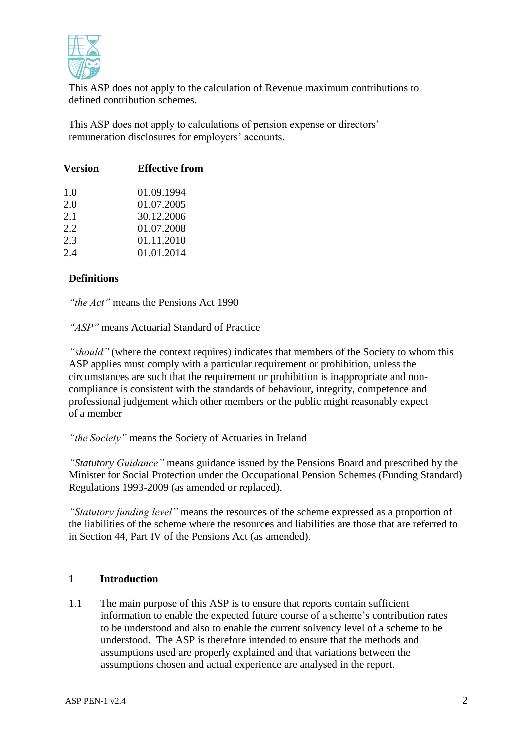

This ASP does not apply to the calculation of Revenue maximum contributions to defined contribution schemes.

This ASP does not apply to calculations of pension expense or directors' remuneration disclosures for employers' accounts.

| <b>Version</b> | <b>Effective from</b> |
|----------------|-----------------------|
| 1.0            | 01.09.1994            |
| 2.0            | 01.07.2005            |
| 2.1            | 30.12.2006            |
| 2.2.           | 01.07.2008            |
| 2.3            | 01.11.2010            |
| 2.4            | 01.01.2014            |
|                |                       |

## **Definitions**

*"the Act"* means the Pensions Act 1990

*"ASP"* means Actuarial Standard of Practice

*"should"* (where the context requires) indicates that members of the Society to whom this ASP applies must comply with a particular requirement or prohibition, unless the circumstances are such that the requirement or prohibition is inappropriate and noncompliance is consistent with the standards of behaviour, integrity, competence and professional judgement which other members or the public might reasonably expect of a member

*"the Society"* means the Society of Actuaries in Ireland

*"Statutory Guidance"* means guidance issued by the Pensions Board and prescribed by the Minister for Social Protection under the Occupational Pension Schemes (Funding Standard) Regulations 1993-2009 (as amended or replaced).

*"Statutory funding level"* means the resources of the scheme expressed as a proportion of the liabilities of the scheme where the resources and liabilities are those that are referred to in Section 44, Part IV of the Pensions Act (as amended).

## **1 Introduction**

1.1 The main purpose of this ASP is to ensure that reports contain sufficient information to enable the expected future course of a scheme's contribution rates to be understood and also to enable the current solvency level of a scheme to be understood. The ASP is therefore intended to ensure that the methods and assumptions used are properly explained and that variations between the assumptions chosen and actual experience are analysed in the report.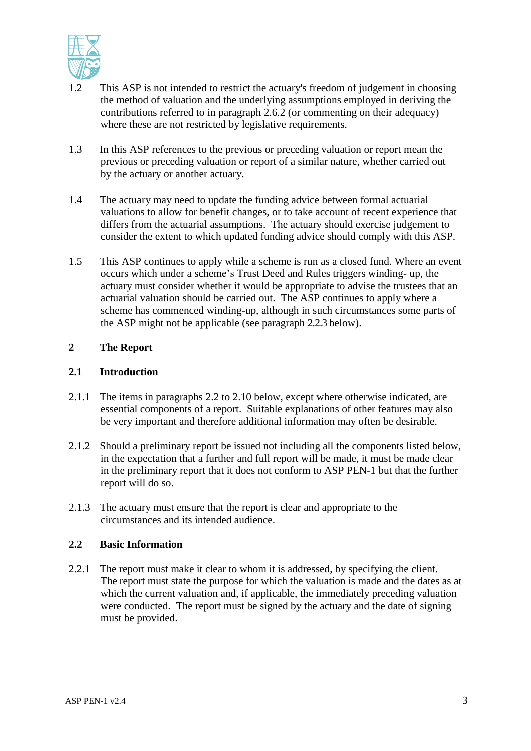

- 1.2 This ASP is not intended to restrict the actuary's freedom of judgement in choosing the method of valuation and the underlying assumptions employed in deriving the contributions referred to in paragraph 2.6.2 (or commenting on their adequacy) where these are not restricted by legislative requirements.
- 1.3 In this ASP references to the previous or preceding valuation or report mean the previous or preceding valuation or report of a similar nature, whether carried out by the actuary or another actuary.
- 1.4 The actuary may need to update the funding advice between formal actuarial valuations to allow for benefit changes, or to take account of recent experience that differs from the actuarial assumptions. The actuary should exercise judgement to consider the extent to which updated funding advice should comply with this ASP.
- 1.5 This ASP continues to apply while a scheme is run as a closed fund. Where an event occurs which under a scheme's Trust Deed and Rules triggers winding- up, the actuary must consider whether it would be appropriate to advise the trustees that an actuarial valuation should be carried out. The ASP continues to apply where a scheme has commenced winding-up, although in such circumstances some parts of the ASP might not be applicable (see paragraph 2.2.3 below).

## **2 The Report**

### **2.1 Introduction**

- 2.1.1 The items in paragraphs 2.2 to 2.10 below, except where otherwise indicated, are essential components of a report. Suitable explanations of other features may also be very important and therefore additional information may often be desirable.
- 2.1.2 Should a preliminary report be issued not including all the components listed below, in the expectation that a further and full report will be made, it must be made clear in the preliminary report that it does not conform to ASP PEN-1 but that the further report will do so.
- 2.1.3 The actuary must ensure that the report is clear and appropriate to the circumstances and its intended audience.

#### **2.2 Basic Information**

2.2.1 The report must make it clear to whom it is addressed, by specifying the client. The report must state the purpose for which the valuation is made and the dates as at which the current valuation and, if applicable, the immediately preceding valuation were conducted. The report must be signed by the actuary and the date of signing must be provided.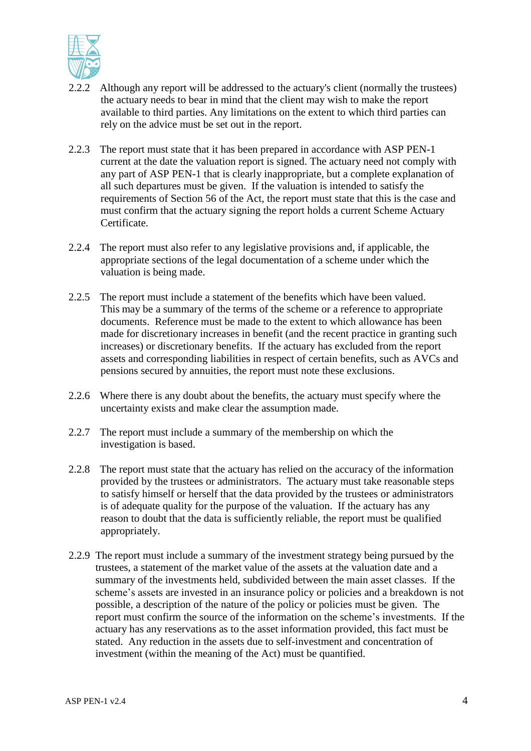

- 2.2.2 Although any report will be addressed to the actuary's client (normally the trustees) the actuary needs to bear in mind that the client may wish to make the report available to third parties. Any limitations on the extent to which third parties can rely on the advice must be set out in the report.
- 2.2.3 The report must state that it has been prepared in accordance with ASP PEN-1 current at the date the valuation report is signed. The actuary need not comply with any part of ASP PEN-1 that is clearly inappropriate, but a complete explanation of all such departures must be given. If the valuation is intended to satisfy the requirements of Section 56 of the Act, the report must state that this is the case and must confirm that the actuary signing the report holds a current Scheme Actuary Certificate.
- 2.2.4 The report must also refer to any legislative provisions and, if applicable, the appropriate sections of the legal documentation of a scheme under which the valuation is being made.
- 2.2.5 The report must include a statement of the benefits which have been valued. This may be a summary of the terms of the scheme or a reference to appropriate documents. Reference must be made to the extent to which allowance has been made for discretionary increases in benefit (and the recent practice in granting such increases) or discretionary benefits. If the actuary has excluded from the report assets and corresponding liabilities in respect of certain benefits, such as AVCs and pensions secured by annuities, the report must note these exclusions.
- 2.2.6 Where there is any doubt about the benefits, the actuary must specify where the uncertainty exists and make clear the assumption made.
- 2.2.7 The report must include a summary of the membership on which the investigation is based.
- 2.2.8 The report must state that the actuary has relied on the accuracy of the information provided by the trustees or administrators. The actuary must take reasonable steps to satisfy himself or herself that the data provided by the trustees or administrators is of adequate quality for the purpose of the valuation. If the actuary has any reason to doubt that the data is sufficiently reliable, the report must be qualified appropriately.
- 2.2.9 The report must include a summary of the investment strategy being pursued by the trustees, a statement of the market value of the assets at the valuation date and a summary of the investments held, subdivided between the main asset classes. If the scheme's assets are invested in an insurance policy or policies and a breakdown is not possible, a description of the nature of the policy or policies must be given. The report must confirm the source of the information on the scheme's investments. If the actuary has any reservations as to the asset information provided, this fact must be stated. Any reduction in the assets due to self-investment and concentration of investment (within the meaning of the Act) must be quantified.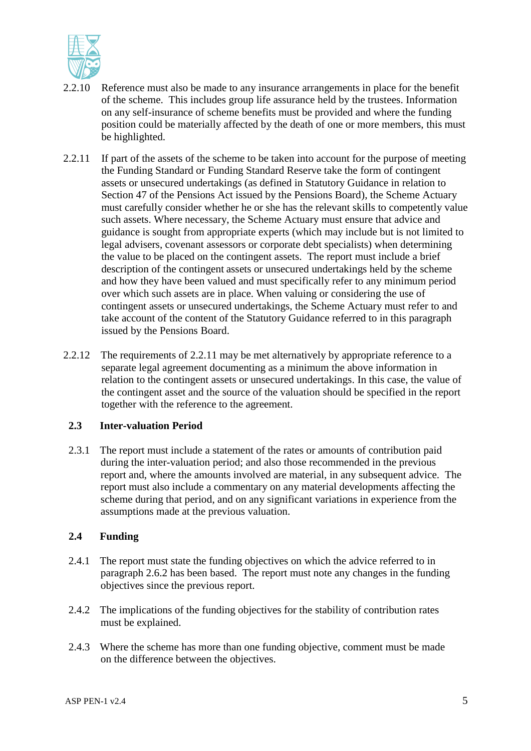

- 2.2.10 Reference must also be made to any insurance arrangements in place for the benefit of the scheme. This includes group life assurance held by the trustees. Information on any self-insurance of scheme benefits must be provided and where the funding position could be materially affected by the death of one or more members, this must be highlighted.
- 2.2.11 If part of the assets of the scheme to be taken into account for the purpose of meeting the Funding Standard or Funding Standard Reserve take the form of contingent assets or unsecured undertakings (as defined in Statutory Guidance in relation to Section 47 of the Pensions Act issued by the Pensions Board), the Scheme Actuary must carefully consider whether he or she has the relevant skills to competently value such assets. Where necessary, the Scheme Actuary must ensure that advice and guidance is sought from appropriate experts (which may include but is not limited to legal advisers, covenant assessors or corporate debt specialists) when determining the value to be placed on the contingent assets. The report must include a brief description of the contingent assets or unsecured undertakings held by the scheme and how they have been valued and must specifically refer to any minimum period over which such assets are in place. When valuing or considering the use of contingent assets or unsecured undertakings, the Scheme Actuary must refer to and take account of the content of the Statutory Guidance referred to in this paragraph issued by the Pensions Board.
- 2.2.12 The requirements of 2.2.11 may be met alternatively by appropriate reference to a separate legal agreement documenting as a minimum the above information in relation to the contingent assets or unsecured undertakings. In this case, the value of the contingent asset and the source of the valuation should be specified in the report together with the reference to the agreement.

#### **2.3 Inter-valuation Period**

2.3.1 The report must include a statement of the rates or amounts of contribution paid during the inter-valuation period; and also those recommended in the previous report and, where the amounts involved are material, in any subsequent advice. The report must also include a commentary on any material developments affecting the scheme during that period, and on any significant variations in experience from the assumptions made at the previous valuation.

## **2.4 Funding**

- 2.4.1 The report must state the funding objectives on which the advice referred to in paragraph 2.6.2 has been based. The report must note any changes in the funding objectives since the previous report.
- 2.4.2 The implications of the funding objectives for the stability of contribution rates must be explained.
- 2.4.3 Where the scheme has more than one funding objective, comment must be made on the difference between the objectives.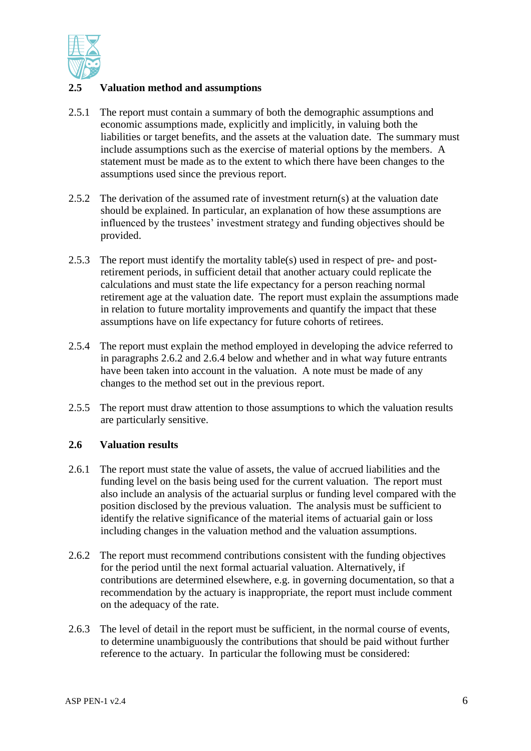

## **2.5 Valuation method and assumptions**

- 2.5.1 The report must contain a summary of both the demographic assumptions and economic assumptions made, explicitly and implicitly, in valuing both the liabilities or target benefits, and the assets at the valuation date. The summary must include assumptions such as the exercise of material options by the members. A statement must be made as to the extent to which there have been changes to the assumptions used since the previous report.
- 2.5.2 The derivation of the assumed rate of investment return(s) at the valuation date should be explained. In particular, an explanation of how these assumptions are influenced by the trustees' investment strategy and funding objectives should be provided.
- 2.5.3 The report must identify the mortality table(s) used in respect of pre- and postretirement periods, in sufficient detail that another actuary could replicate the calculations and must state the life expectancy for a person reaching normal retirement age at the valuation date. The report must explain the assumptions made in relation to future mortality improvements and quantify the impact that these assumptions have on life expectancy for future cohorts of retirees.
- 2.5.4 The report must explain the method employed in developing the advice referred to in paragraphs 2.6.2 and 2.6.4 below and whether and in what way future entrants have been taken into account in the valuation. A note must be made of any changes to the method set out in the previous report.
- 2.5.5 The report must draw attention to those assumptions to which the valuation results are particularly sensitive.

## **2.6 Valuation results**

- 2.6.1 The report must state the value of assets, the value of accrued liabilities and the funding level on the basis being used for the current valuation. The report must also include an analysis of the actuarial surplus or funding level compared with the position disclosed by the previous valuation. The analysis must be sufficient to identify the relative significance of the material items of actuarial gain or loss including changes in the valuation method and the valuation assumptions.
- 2.6.2 The report must recommend contributions consistent with the funding objectives for the period until the next formal actuarial valuation. Alternatively, if contributions are determined elsewhere, e.g. in governing documentation, so that a recommendation by the actuary is inappropriate, the report must include comment on the adequacy of the rate.
- 2.6.3 The level of detail in the report must be sufficient, in the normal course of events, to determine unambiguously the contributions that should be paid without further reference to the actuary. In particular the following must be considered: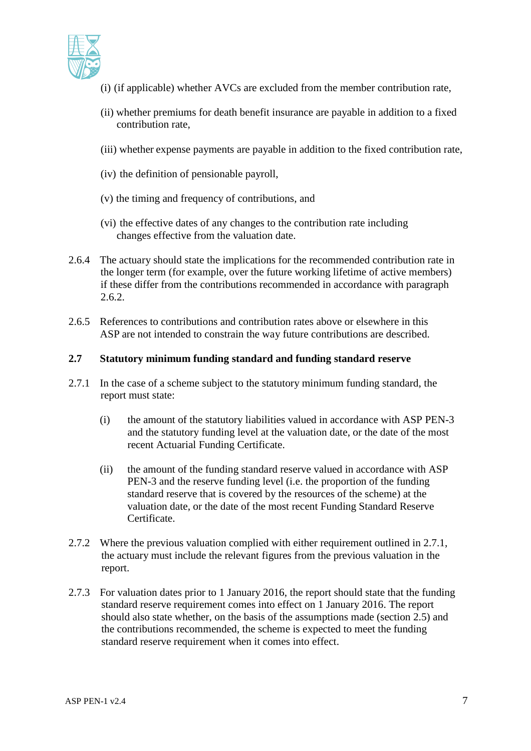

- (i) (if applicable) whether AVCs are excluded from the member contribution rate,
- (ii) whether premiums for death benefit insurance are payable in addition to a fixed contribution rate,
- (iii) whether expense payments are payable in addition to the fixed contribution rate,
- (iv) the definition of pensionable payroll,
- (v) the timing and frequency of contributions, and
- (vi) the effective dates of any changes to the contribution rate including changes effective from the valuation date.
- 2.6.4 The actuary should state the implications for the recommended contribution rate in the longer term (for example, over the future working lifetime of active members) if these differ from the contributions recommended in accordance with paragraph 2.6.2.
- 2.6.5 References to contributions and contribution rates above or elsewhere in this ASP are not intended to constrain the way future contributions are described.

#### **2.7 Statutory minimum funding standard and funding standard reserve**

- 2.7.1 In the case of a scheme subject to the statutory minimum funding standard, the report must state:
	- (i) the amount of the statutory liabilities valued in accordance with ASP PEN-3 and the statutory funding level at the valuation date, or the date of the most recent Actuarial Funding Certificate.
	- (ii) the amount of the funding standard reserve valued in accordance with ASP PEN-3 and the reserve funding level (i.e. the proportion of the funding standard reserve that is covered by the resources of the scheme) at the valuation date, or the date of the most recent Funding Standard Reserve Certificate.
- 2.7.2 Where the previous valuation complied with either requirement outlined in 2.7.1, the actuary must include the relevant figures from the previous valuation in the report.
- 2.7.3 For valuation dates prior to 1 January 2016, the report should state that the funding standard reserve requirement comes into effect on 1 January 2016. The report should also state whether, on the basis of the assumptions made (section 2.5) and the contributions recommended, the scheme is expected to meet the funding standard reserve requirement when it comes into effect.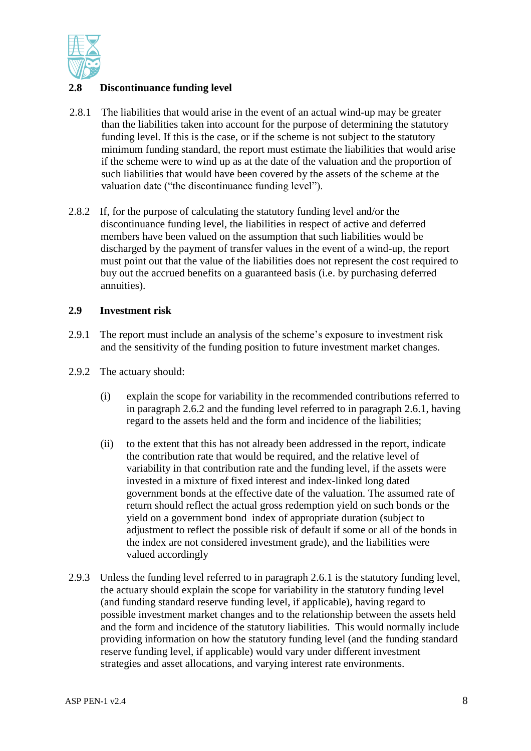

## **2.8 Discontinuance funding level**

- 2.8.1 The liabilities that would arise in the event of an actual wind-up may be greater than the liabilities taken into account for the purpose of determining the statutory funding level. If this is the case, or if the scheme is not subject to the statutory minimum funding standard, the report must estimate the liabilities that would arise if the scheme were to wind up as at the date of the valuation and the proportion of such liabilities that would have been covered by the assets of the scheme at the valuation date ("the discontinuance funding level").
- 2.8.2 If, for the purpose of calculating the statutory funding level and/or the discontinuance funding level, the liabilities in respect of active and deferred members have been valued on the assumption that such liabilities would be discharged by the payment of transfer values in the event of a wind-up, the report must point out that the value of the liabilities does not represent the cost required to buy out the accrued benefits on a guaranteed basis (i.e. by purchasing deferred annuities).

#### **2.9 Investment risk**

- 2.9.1 The report must include an analysis of the scheme's exposure to investment risk and the sensitivity of the funding position to future investment market changes.
- 2.9.2 The actuary should:
	- (i) explain the scope for variability in the recommended contributions referred to in paragraph 2.6.2 and the funding level referred to in paragraph 2.6.1, having regard to the assets held and the form and incidence of the liabilities;
	- (ii) to the extent that this has not already been addressed in the report, indicate the contribution rate that would be required, and the relative level of variability in that contribution rate and the funding level, if the assets were invested in a mixture of fixed interest and index-linked long dated government bonds at the effective date of the valuation. The assumed rate of return should reflect the actual gross redemption yield on such bonds or the yield on a government bond index of appropriate duration (subject to adjustment to reflect the possible risk of default if some or all of the bonds in the index are not considered investment grade), and the liabilities were valued accordingly
- 2.9.3 Unless the funding level referred to in paragraph 2.6.1 is the statutory funding level, the actuary should explain the scope for variability in the statutory funding level (and funding standard reserve funding level, if applicable), having regard to possible investment market changes and to the relationship between the assets held and the form and incidence of the statutory liabilities. This would normally include providing information on how the statutory funding level (and the funding standard reserve funding level, if applicable) would vary under different investment strategies and asset allocations, and varying interest rate environments.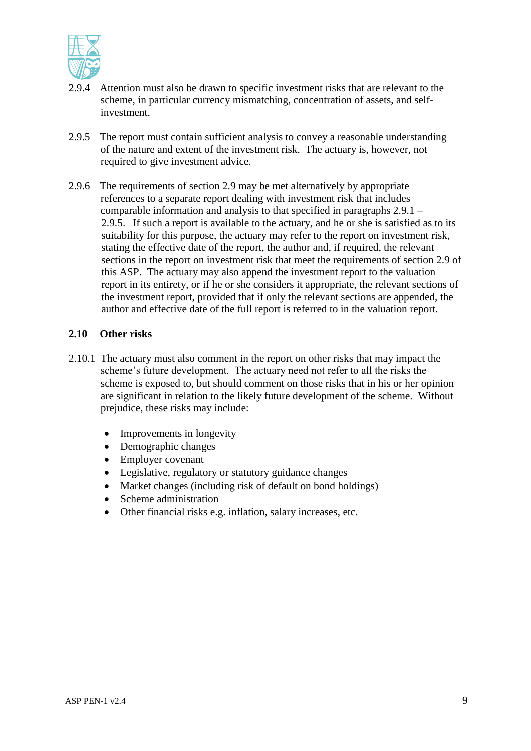

- 2.9.4 Attention must also be drawn to specific investment risks that are relevant to the scheme, in particular currency mismatching, concentration of assets, and selfinvestment.
- 2.9.5 The report must contain sufficient analysis to convey a reasonable understanding of the nature and extent of the investment risk. The actuary is, however, not required to give investment advice.
- 2.9.6 The requirements of section 2.9 may be met alternatively by appropriate references to a separate report dealing with investment risk that includes comparable information and analysis to that specified in paragraphs 2.9.1 – 2.9.5. If such a report is available to the actuary, and he or she is satisfied as to its suitability for this purpose, the actuary may refer to the report on investment risk, stating the effective date of the report, the author and, if required, the relevant sections in the report on investment risk that meet the requirements of section 2.9 of this ASP. The actuary may also append the investment report to the valuation report in its entirety, or if he or she considers it appropriate, the relevant sections of the investment report, provided that if only the relevant sections are appended, the author and effective date of the full report is referred to in the valuation report.

#### **2.10 Other risks**

- 2.10.1 The actuary must also comment in the report on other risks that may impact the scheme's future development. The actuary need not refer to all the risks the scheme is exposed to, but should comment on those risks that in his or her opinion are significant in relation to the likely future development of the scheme. Without prejudice, these risks may include:
	- Improvements in longevity
	- Demographic changes
	- Employer covenant
	- Legislative, regulatory or statutory guidance changes
	- Market changes (including risk of default on bond holdings)
	- Scheme administration
	- Other financial risks e.g. inflation, salary increases, etc.